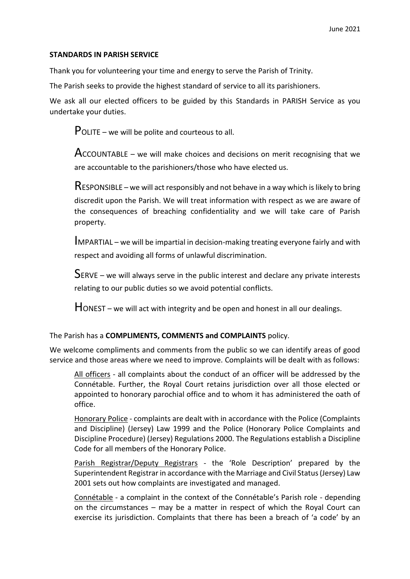## **STANDARDS IN PARISH SERVICE**

Thank you for volunteering your time and energy to serve the Parish of Trinity.

The Parish seeks to provide the highest standard of service to all its parishioners.

We ask all our elected officers to be guided by this Standards in PARISH Service as you undertake your duties.

POLITE – we will be polite and courteous to all.

 $Acc$ OUNTABLE – we will make choices and decisions on merit recognising that we are accountable to the parishioners/those who have elected us.

RESPONSIBLE – we will act responsibly and not behave in a way which is likely to bring discredit upon the Parish. We will treat information with respect as we are aware of the consequences of breaching confidentiality and we will take care of Parish property.

IMPARTIAL – we will be impartial in decision-making treating everyone fairly and with respect and avoiding all forms of unlawful discrimination.

SERVE – we will always serve in the public interest and declare any private interests relating to our public duties so we avoid potential conflicts.

 $H$ ONEST – we will act with integrity and be open and honest in all our dealings.

The Parish has a **COMPLIMENTS, COMMENTS and COMPLAINTS** policy.

We welcome compliments and comments from the public so we can identify areas of good service and those areas where we need to improve. Complaints will be dealt with as follows:

All officers - all complaints about the conduct of an officer will be addressed by the Connétable. Further, the Royal Court retains jurisdiction over all those elected or appointed to honorary parochial office and to whom it has administered the oath of office.

Honorary Police - complaints are dealt with in accordance with the Police (Complaints and Discipline) (Jersey) Law 1999 and the Police (Honorary Police Complaints and Discipline Procedure) (Jersey) Regulations 2000. The Regulations establish a Discipline Code for all members of the Honorary Police.

Parish Registrar/Deputy Registrars - the 'Role Description' prepared by the Superintendent Registrar in accordance with the Marriage and Civil Status (Jersey) Law 2001 sets out how complaints are investigated and managed.

Connétable - a complaint in the context of the Connétable's Parish role - depending on the circumstances – may be a matter in respect of which the Royal Court can exercise its jurisdiction. Complaints that there has been a breach of 'a code' by an